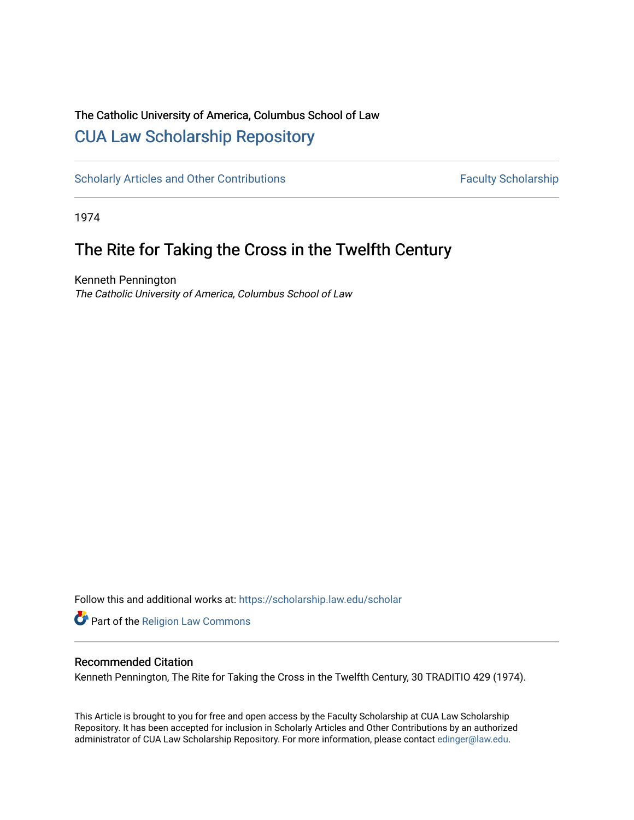# The Catholic University of America, Columbus School of Law [CUA Law Scholarship Repository](https://scholarship.law.edu/)

[Scholarly Articles and Other Contributions](https://scholarship.law.edu/scholar) Faculty Scholarship

1974

# The Rite for Taking the Cross in the Twelfth Century

Kenneth Pennington The Catholic University of America, Columbus School of Law

Follow this and additional works at: [https://scholarship.law.edu/scholar](https://scholarship.law.edu/scholar?utm_source=scholarship.law.edu%2Fscholar%2F642&utm_medium=PDF&utm_campaign=PDFCoverPages)

**Part of the [Religion Law Commons](http://network.bepress.com/hgg/discipline/872?utm_source=scholarship.law.edu%2Fscholar%2F642&utm_medium=PDF&utm_campaign=PDFCoverPages)** 

# Recommended Citation

Kenneth Pennington, The Rite for Taking the Cross in the Twelfth Century, 30 TRADITIO 429 (1974).

This Article is brought to you for free and open access by the Faculty Scholarship at CUA Law Scholarship Repository. It has been accepted for inclusion in Scholarly Articles and Other Contributions by an authorized administrator of CUA Law Scholarship Repository. For more information, please contact [edinger@law.edu](mailto:edinger@law.edu).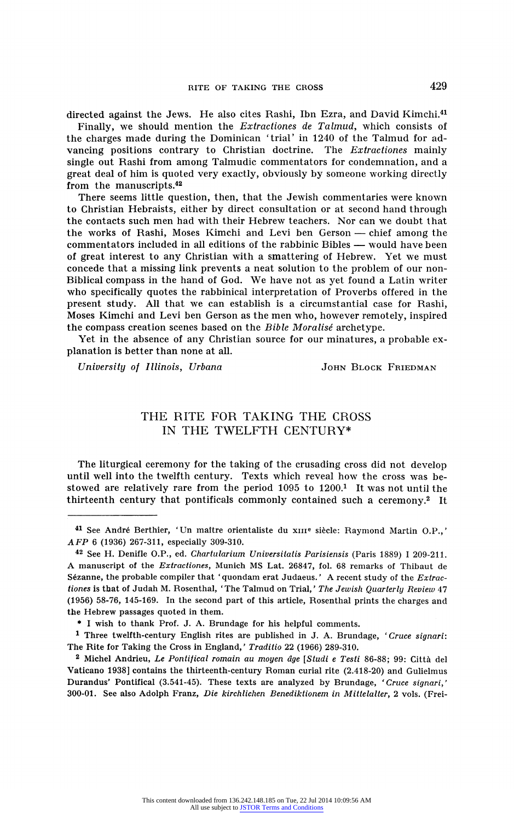directed against the Jews. He also cites Rashi, Ibn Ezra, and David Kimchi.41

Finally, we should mention the Extractiones de Talmud, which consists of the charges made during the Dominican 'trial' in 1240 of the Talmud for ad vancing positions contrary to Christian doctrine. The *Extractiones* mainly single out Rashi from among Talmudic commentators for condemnation, and a single out Rashi from among Talmudic commentators for condemnation, and a great deal of him is quoted very exactly, obviously by someone working directly from the manuscripts.42

There seems little question, then, that the Jewish commentaries were known to Christian Hebraists, either by direct consultation or at second hand through the contacts such men had with their Hebrew teachers. Nor can we doubt that the works of Rashi, Moses Kimchi and Levi ben Gerson — chief among the commentators included in all editions of the rabbinic Bibles - would have been of great interest to any Christian with a smattering of Hebrew. Yet we must concede that a missing link prevents a neat solution to the problem of our non Biblical compass in the hand of God. We have not as yet found a Latin writer who specifically quotes the rabbinical interpretation of Proverbs offered in the present study. All that we can establish is a circumstantial case for Rashi, Moses Kimchi and Levi ben Gerson as the men who, however remotely, inspired the compass creation scenes based on the Bible Moralisé archetype.

Yet in the absence of any Christian source for our minatures, a probable ex planation is better than none at all.

University of Illinois, Urbana Martin John Block Friedman

## THE RITE FOR TAKING THE CROSS IN THE TWELFTH CENTURY\*

The liturgical ceremony for the taking of the crusading cross did not develop until well into the twelfth century. Texts which reveal how the cross was be stowed are relatively rare from the period 1095 to 1200.1 It was not until the thirteenth century that pontificals commonly contained such a ceremony.2 It

<sup>&</sup>lt;sup>41</sup> See André Berthier, 'Un maître orientaliste du xIII<sup>e</sup> siècle: Raymond Martin O.P.,' AFP 6 (1936) 267-311, especially 309-310.

<sup>42</sup> See H. Denifle O.P., ed. Chartularium Universitatis Parisiensis (Paris 1889) I 209-211. A manuscript of the Extractiones, Munich MS Lat. 26847, fol. 68 remarks of Thibaut de Sézanne, the probable compiler that 'quondam erat Judaeus.' A recent study of the  $Extr$ tiones is that of Judah M. Rosenthal, 'The Talmud on Trial,' The Jewish Quarterly Review 47 (1956) 58-76, 145-169. In the second part of this article, Rosenthal prints the charges and the Hebrew passages quoted in them.

<sup>\*</sup> I wish to thank Prof. J. A. Brundage for his helpful comments.

<sup>1</sup> Three twelfth-century English rites are published in J. A. Brundage, 'Cruce signari: The Rite for Taking the Cross in England,' Traditio 22 (1966) 289-310.

<sup>&</sup>lt;sup>2</sup> Michel Andrieu, Le Pontifical romain au moyen âge [Studi e Testi 86-88; 99: Città del Vaticano 1938] contains the thirteenth-century Roman curial rite (2.418-20) and Gulielmus Durandus' Pontifical (3.541-45). These texts are analyzed by Brundage, 'Cruce signari,' 300-01. See also Adolph Franz, Die kirchlichen Benediktionem in Mittelalter, 2 vols. (Frei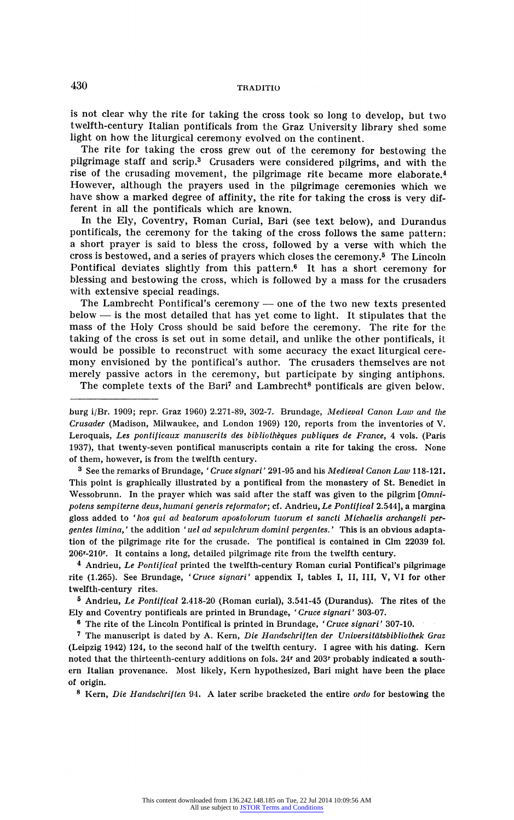## 430 TRADITIO

is not clear why the rite for taking the cross took so long to develop, but two twelfth-century Italian pontificals from the Graz University library shed some light on how the liturgical ceremony evolved on the continent.<br>The rite for taking the cross grew out of the ceremony for bestowing the

The rite for taking the cross grew out of the ceremony for bestowing the<br>ilgrimage staff and serie 3. Causedars were considered silmines, and with the pilgrimage staff and scrip.<sup>3</sup> Crusaders were considered pilgrims, and with the rise of the crusading movement, the pilgrimage rite became more elaborate.4 However, although the prayers used in the pilgrimage ceremonies which we have show a marked degree of affinity, the rite for taking the cross is very dif ferent in all the pontificals which are known.

In the Ely, Coventry, Roman Curial, Bari (see text below), and Durandus pontificals, the ceremony for the taking of the cross follows the same pattern: a short prayer is said to bless the cross, followed by a verse with which the cross is bestowed, and a series of prayers which closes the ceremony.5 The Lincoln Pontifical deviates slightly from this pattern.6 It has a short ceremony for blessing and bestowing the cross, which is followed by a mass for the crusaders with extensive special readings.

The Lambrecht Pontifical's ceremony — one of the two new texts presented that the two news of the two news of the two news of the two news of the two news of the two news of the two news of the two news of the two news of below ? is the most detailed that has yet come to light. It stipulates that the mass of the Holy Cross should be said before the ceremony. The rite for the taking of the cross is set out in some detail, and unlike the other pontificals, it would be possible to reconstruct with some accuracy the exact liturgical cere mony envisioned by the pontifical's author. The crusaders themselves are not merely passive actors in the ceremony, but participate by singing antiphons.

The complete texts of the Bari<sup>7</sup> and Lambrecht<sup>8</sup> pontificals are given below.

<sup>3</sup> See the remarks of Brundage, 'Cruce signari' 291-95 and his Medieval Canon Law 118-12 This point is graphically illustrated by a pontifical from the monastery of St. Benedict in Wessobrunn. In the prayer which was said after the staff was given to the pilgrim [Omnipotens sempiterne deus, humani generis reformator; cf. Andrieu, Le Pontifical 2.544], a margina gloss added to 'hos qui ad bealorum apostolorum tuorum et sancti Michaelis archangeli per gentes limina,' the addition 'uel ad sepulchrum domini pergentes.' This is an obvious adap tion of the pilgrimage rite for the crusade. The pontifical is contained in Glm 22039 fol. 206<sup>r</sup>-210<sup>r</sup>. It contains a long, detailed pilgrimage rite from the twelfth century.

<sup>4</sup> Andrieu, *Le Pontifical* printed the twelfth-century Roman curial Pontifical's pilgrima rite (1.265). See Brundage, 'Cruce signari' appendix I, tables I, II, III, V, VI for other twelfth-century rites.

5 Andrieu, Le Pontifical 2.418-20 (Roman curial), 3.541-45 (Durandus). The rites of the Ely and Coventry pontificals are printed in Brundage, 'Cruce signari' 303-07.

6 The rite of the Lincoln Pontifical is printed in Brundage, 'Cruce signari' 307-10.

7 The manuscript is dated by A. Kern, Die Handschriften der Universitätsbibliothek Graz (Leipzig 1942) 124, to the second half of the twelfth century. I agree with his dating. Kern noted that the thirteenth-century additions on fols. 24r and 203r probably indicated a south ern Italian provenance. Most likely, Kern hypothesized, Bari might have been the place of origin.

<sup>8</sup> Kern, Die Handschriften 94. A later scribe bracketed the entire ordo for bestowing the

burg i/Br. 1909; repr. Graz 1960) 2.271-89, 302-7. Brundage, Medieval Canon Law and the Crusader (Madison, Milwaukee, and London 1969) 120, reports from the inventories of V. Leroquais, Les pontificaux manuscrits des bibliothèques publiques de France, 4 vols. (Paris 1937), that twenty-seven pontifical manuscripts contain a rite for taking the cross. None of them, however, is from the twelfth century.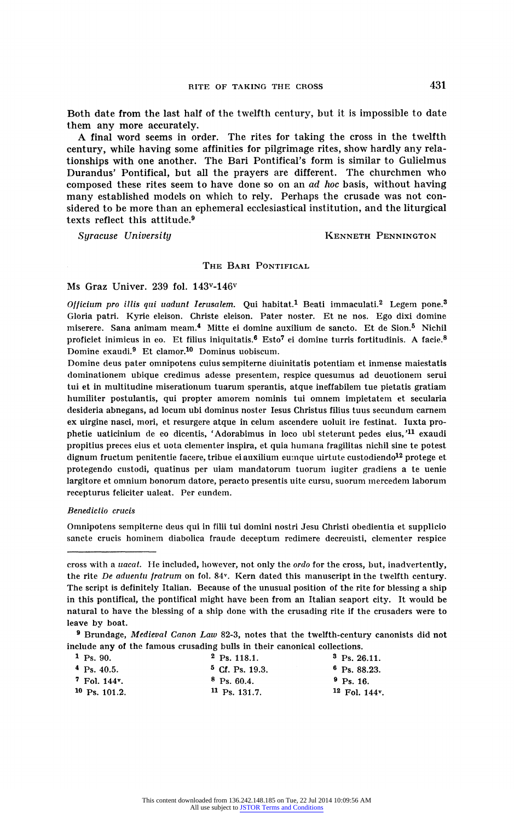Both date from the last half of the twelfth century, but it is impossible to date them any more accurately.

A final word seems in order. The rites for taking the cross in the twelfth century, while having some affinities for pilgrimage rites, show hardly any rela tionships with one another. The Bari Pontifical's form is similar to Gulielmus Durandus' Pontifical, but all the prayers are different. The churchmen who composed these rites seem to have done so on an ad hoc basis, without having many established models on which to rely. Perhaps the crusade was not con sidered to be more than an ephemeral ecclesiastical institution, and the liturgical texts reflect this attitude.9

### Syracuse University **Mathem** Renner Hennington

## THE BARI PONTIFICAL

#### Ms Graz Univer. 239 fol. 143v-146v

Officium pro illis qui uadunt Ierusalem. Qui habitat.<sup>1</sup> Beati immaculati.<sup>2</sup> Legem pone.<sup>3</sup> Gloria patri. Kyrie eleison. Christe eleison. Pater noster. Et ne nos. Ego dixi domine miserere. Sana animam meam.4 Mitte ei domine auxilium de sancto. Et de Sion.5 Nichil proficiet inimicus in eo. Et filius iniquitatis.<sup>6</sup> Esto<sup>7</sup> ei domine turris fortitudinis. A facie.<sup>8</sup> Domine exaudi.9 Et clamor.10 Dominus uobiscum.

Domine deus pater omnipotens cuius sempiterne diuinitatis potentiam et inmense maiestatis dominationem ubique credimus adesse presentem, respice quesumus ad deuotionem serui tui et in multitudine miserationum tuarum sperantis, atque ineffabilem tue pietatis gratiam humiliter postulantis, qui propter amorem nominis tui omnem impietatem et secularia desideria abnegans, ad locum ubi dominus noster Iesus Christus filius tuus secundum carnem ex uirgine nasci, mori, et resurgere atque in celum ascendere uoluit ire festinat. Iuxta pro phetie uaticinium de eo dicentis, 'Adorabimus in loco ubi steterunt pedes eius,'11 exaudi propitius preces eius et uota clementer inspira, et quia humana fragilitas nichil sine te potest dignum fructum penitentie facere, tribue ei auxilium eumque uirtute custodiendo<sup>12</sup> protege et protegendo custodi, quatinus per uiam mandatorum tuorum iugiter gradiens a te uenie largitore et omnium bonorum datore, peracto presentis uite cursu, suorum mercedem laborum recepturus feliciter ualeat. Per eundem.

#### Benedictio crucis

Omnipotens sempiterne deus qui in filii tui domini nostri Jesu Christi obedientia et supplicio sancte crucis hominem diabolica fraude deceptum redimere decreuisti, clementer respice

<sup>&</sup>lt;sup>9</sup> Brundage, Medieval Canon Law 82-3, notes that the twelfth-century canonists did no include any of the famous crusading bulls in their canonical collections.

| $2$ Ps. 118.1.          | $3$ Ps. 26.11.      |
|-------------------------|---------------------|
| $5$ Cf. Ps. 19.3.       | $6$ Ps. 88.23.      |
| $8$ Ps. 60.4.           | $P_{\rm S}$ , 16.   |
| $\rm{^{11}}$ Ps. 131.7. | $12$ Fol. 144 $v$ . |
|                         |                     |

cross with a uacat. He included, however, not only the ordo for the cross, but, inadvertently, the rite De aduentu fratrum on fol. 84v. Kern dated this manuscript in the twelfth century. The script is definitely Italian. Because of the unusual position of the rite for blessing a ship in this pontifical, the pontifical might have been from an Italian seaport city. It would be natural to have the blessing of a ship done with the crusading rite if the crusaders were to leave by boat.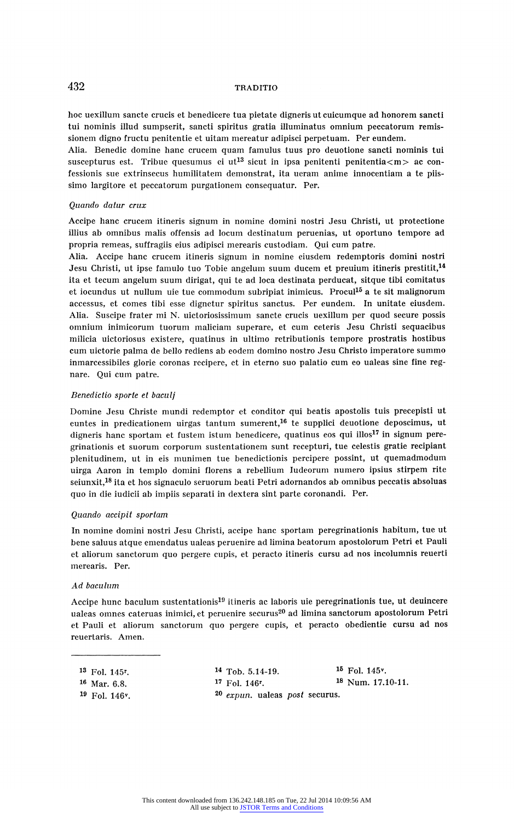## 432 TRADITION

hoc uexillum sancte crucis et benedicere tua pietate digneris ut cuicumque ad honorem sancti tui nominis illud sumpserit, sancti spiritus gratia illuminatus omnium peccatorum remis sionem digno fructu penitentie et uitam mereatur adipisci perpetuam. Per eundem.

Alia. Benedic domine hanc crucem quam famulus tuus pro deuotione sancti nominis tui suscepturus est. Tribue quesumus ei ut<sup>13</sup> sicut in ipsa penitenti penitentia<m> ac confessionis sue extrinsecus humilitatem demonstrat, ita ueram anime innocentiam a te piis simo largitore et peccatorum purgationem consequatur. Per.

#### Quando datur crux

Accipe hanc crucem itineris signum in nomine domini nostri Jesu Christi, ut protectione illius ab omnibus malis offensis ad locum destinatum peruenias, ut oportuno tempore ad propria remeas, suffragiis eius adipisci merearis custodiam. Qui cum patre.

Alia. Accipe hanc crucem itineris signum in nomine eiusdem redemptoris domini nostri Jesu Christi, ut ipse famulo tuo Tobie angelum suum ducem et preuium itineris prestitit,<sup>14</sup> ita et tecum angelum suum dirigat, qui te ad loca destinata perducat, sitque tibi comitatus et iocundus ut nullum uie tue commodum subripiat inimicus. Procul<sup>15</sup> a te sit malignorum accessus, et comes tibi esse dignetur spiritus sanctus. Per eundem. In unitate eiusdem. Alia. Suscipe frater mi N. uictoriosissimum sancte crucis uexillum per quod secure possis omnium inimicorum tuorum maliciam superare, et cum ceteris Jesu Christi sequaeibus milicia uictoriosus existere, quatinus in ultimo retributionis tempore prostratis hostibus cum uictorie palma de bello rediens ab eodem domino nostro Jesu Christo imperatore summo inmarcessibiles glorie coronas recipere, et in eterno suo palatio cum eo ualeas sine fine regnare. Qui cum patre.

#### Benedictio sporte et baculj

Domine Jesu Christe mundi redemptor et conditor qui beatis apostolis tuis preeepisti ut euntes in predicationem uirgas tantum sumerent,<sup>16</sup> te supplici deuotione deposcimus, ut digneris hanc sportam et fustem istum benedicere, quatinus eos qui illos<sup>17</sup> in signum peregrinationis et suorum corporum sustentationem sunt reeepturi, tue celestis gratie reeipiant plenitudinem, ut in eis munimen tue benedictionis pereipere possint, ut quemadmodum uirga Aaron in tempio domini florens a rebellium Iudeorum numero ipsius stirpem rite seiunxit,<sup>18</sup> ita et hos signaculo seruorum beati Petri adornandos ab omnibus peccatis absoluas quo in die iudicii ab impiis separati in dextera sint parte coronandi. Per.

#### Quando aeeipit sportam

In nomine domini nostri Jesu Christi, accipe hanc sportam peregrinationis habitum, tue ut bene saluus atque emendatus ualeas peruenire ad limina beatorum apostolorum Petri et Pauli et aliorum sanctorum quo pergere cupis, et peracto itineris cursu ad nos incolumnis reuerti merearis. Per.

#### Ad baculum

Accipe hunc baculum sustentationis19 itineris ac laboris uie peregrinationis tue, ut deuincere ualeas omnes cateruas inimici, et peruenire securus<sup>20</sup> ad limina sanctorum apostolorum Petri et Pauli et aliorum sanctorum quo pergere cupis, et peracto obedientie cursu ad nos reuertaris. Amen.

|          | <sup>13</sup> Fol. 145 <sup>r</sup> . |
|----------|---------------------------------------|
| $10 - r$ |                                       |

- 
- <sup>19</sup> Fol. 146v.

<sup>14</sup> Tob. 5.14-19. <sup>15</sup> Fol. 145<sup>v</sup>.<br>
<sup>17</sup> Fol. 146<sup>r</sup>. <sup>18</sup> Num. 17.1 16 Mar. 6.8. 17 Fol. 146<sup>r</sup>. 18 Num. 17.10-11. 20 expun. ualeas post securus.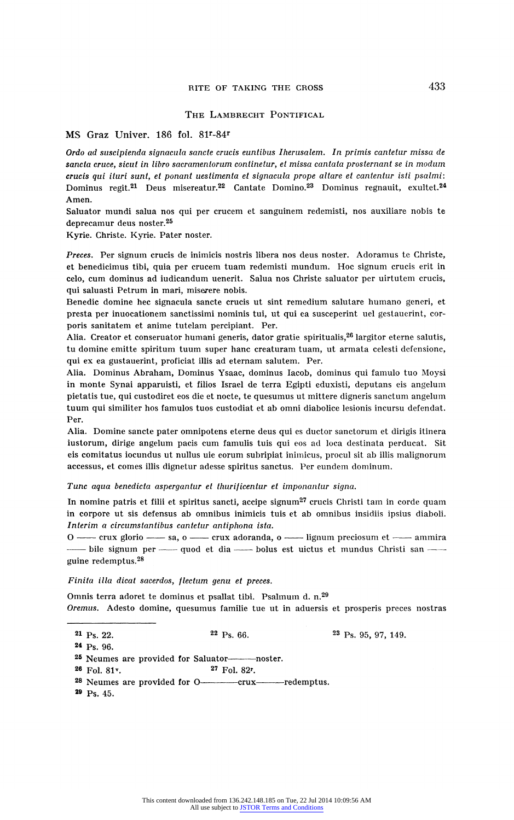#### THE LAMBRECHT PONTIFICAL

## MS Graz Univer. 186 fol. 81<sup>r</sup>-84<sup>r</sup>

Ordo ad suscipienda signacula sancte crucis euntibus Iherusalem. In primis cantetur missa de sancta cruce, sicut in libro sacramentorum continetur, et missa cantata prosternant se in modum crucis qui ituri sunt, et ponant uestimenta et signacula prope altare et cantentur isti psalmi: Dominus regit.21 Deus misereatur.22 Cantate Domino.23 Dominus regnauit, exultet.24 Amen.

Saluator mundi salua nos qui per crucem et sanguinem redemisti, nos auxiliare nobis te deprecamur deus noster.25

Kyrie. Christe. Kyrie. Pater noster.

Preces. Per signum crucis de inimicis nostris libera nos deus noster. Adoramus te Christe, et benedicimus tibi, quia per crucem tuam redemisti mundum. Hoc signum crucis erit in celo, cum dominus ad iudicandum uenerit. Salua nos Christe saluator per uirtutem crucis, qui saluasti Petrum in mari, miserere nobis.

Benedic domine hec signacula sancte crucis ut sint remedium salutare humano generi, et presta per inuocationem sanctissimi nominis tui, ut qui ea susceperint uel gestauerint, cor poris sanitatem et anime tutelam percipiant. Per.

Alia. Creator et conseruator humani generis, dator gratie spiritualis, $^{26}$  largitor eterne salutis, tu domine emitte spiritum tuum super hanc creaturam tuam, ut armata celesti defensione, qui ex ea gustauerint, proficiat illis ad eternam salutem. Per.

Alia. Dominus Abraham, Dominus Ysaac, dominus Iacob, dominus qui famulo tuo Moysi in monte Synai apparuisti, et filios Israel de terra Egipti eduxisti, deputans eis angelum pietatis tue, qui custodiret eos die et nocte, te quesumus ut mittere digneris sanctum angelum tuum qui similiter hos famulos tuos custodiat et ab omni diabolice lesionis incursu defendat. Per.

Alia. Domine sancte pater omnipotens eterne deus qui es ductor sanctorum et dirigis itinera iustorum, dirige angelum pacis cum famulis tuis qui eos ad loca destinata perducat. Sit eis comitatus iocundus ut nullus uie eorum subripiat inimicus, procul sit ab illis malignorum accessus, et comes illis dignetur adesse spiritus sanctus. Per eundem dominum.

Tune aqua benedicta aspergantur et thurificentur et imponantur signa.

In nomine patris et filii et spiritus sancti, accipe signum<sup>27</sup> crucis Christi tam in corde quam in corpore ut sis defensus ab omnibus inimicis tuis et ab omnibus insidiis ipsius diaboli. Interim a circumstantibus cantetur antiphona ista.

O - crux glorio - sa, o - crux adoranda, o - lignum preciosum et - ammira -- bile signum per - quod et dia - bolus est uictus et mundus Christi san guine redemptus.<sup>28</sup>

#### Finita illa dicat sacerdos, flectum genu et preces.

Omnis terra adoret te dominus et psallat tibi. Psalmum d. n.29 Oremus. Adesto domine, quesumus familie tue ut in aduersis et prosperis preces nostras

 $22 \text{ Ps. } 66.$   $23 \text{ Ps. } 95, 97, 149.$ <sup>21</sup> Ps. 22.

24 Ps. 96.

<sup>25</sup> Neumes are provided for Saluator———noster.<br><sup>26</sup> Fol. 81<sup>v</sup>. <sup>27</sup> Fol. 82<sup>r</sup>.

- $26$  Fol.  $81$ <sup>v</sup>.
- 28 Neumes are provided for O-crux-redemptus.
- 29 Ps. 45.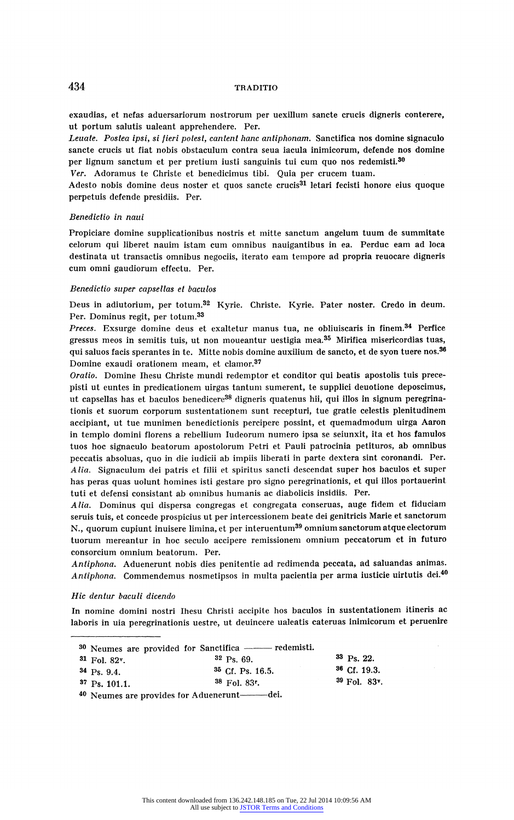exaudias, et nefas aduersariorum nostrorum per uexillum sancte crucis digneris conterere, ut portum salutis ualeant apprehendere. Per.

Leuate. Postea ipsi, si fieri potest, cantent hanc antiphonam. Sanctifica nos domine signaculo sancte crucis ut fiat nobis obstaculum contra seua iacula inimicorum, defende nos domine per lignum sanctum et per pretium iusti sanguinis tui cum quo nos redemisti.30

Ver. Adoramus te Christe et benedicimus tibi. Quia per crucem tuam.

Adesto nobis domine deus noster et quos sancte crucis<sup>31</sup> letari fecisti honore eius quoque perpetuis defende presidiis. Per.

#### Benedictio in naui

Propiciare domine supplicationibus nostris et mitte sanctum angelum tuum de summitate celorum qui liberet nauim istam cum omnibus nauigantibus in ea. Perduc eam ad loca destinata ut transactis omnibus negociis, iterato earn tempore ad propria reuocare digneris cum omni gaudiorum effectu. Per.

#### Benedictio super capsellas et baculos

Deus in adiutorium, per totum.32 Kyrie. Christe. Kyrie. Pater noster. Credo in deum. Per. Dominus regit, per totum.33

Preces. Exsurge domine deus et exaltetur manus tua, ne obliuiscaris in finem.<sup>34</sup> Perfice gressus meos in semitis tuis, ut non moueantur uestigia mea.35 Mirifica misericordias tuas, qui saluos facis sperantes in te. Mitte nobis domine auxilium de sancto, et de syon tuere nos.36 Domine exaudi orationem meam, et clamor.<sup>37</sup>

Oratio. Domine Ihesu Christe mundi redemptor et conditor qui beatis apostolis tuis prece pisti ut euntes in predicationem uirgas tantum sumerent, te supplici deuotione deposcimus, ut capsellas has et baculos benedicere<sup>38</sup> digneris quatenus hii, qui illos in signum peregrinationis et suorum corporum sustentationem sunt recepturi, tue gratie celestis plenitudinem accipiant, ut tue munimen benedictionis percipere possint, et quemadmodum uirga Aaron in templo domini florens a rebellium Iudeorum numero ipsa se seiunxit, ita et hos famulos tuos hoc signaculo beatorum apostolorum Petri et Pauli patrocinia petituros, ab omnibus peccatis absoluas, quo in die iudicii ab impiis liberati in parte dextera sint coronandi. Per. Alia. Signaculum dei patris et filii et spiritus sancti descendat super hos baculos et super has peras quas uolunt homines isti gestare pro signo peregrinationis, et qui illos portauerint tuti et defensi consistant ab omnibus humanis ac diabolicis insidiis. Per.

Alia. Dominus qui dispersa congregas et congregata conseruas, auge fidem et fiduciam seruis tuis, et concede prospicius ut per intercessionem beate dei genitricis Marie et sanctorum ., quorum cupiunt inuisere limina, et per interuentum39 omnium sanctorum atque electorum tuorum mereantur in hoc seculo accipere remissionem omnium peccatorum et in futuro consorcium omnium beatorum. Per.

Antiphona. Aduenerunt nobis dies penitentie ad redimenda peccata, ad saluandas animas. Antiphona. Commendemus nosmetipsos in multa pacientia per arma iusticie uirtutis dei.40

#### Hic dentur baculi dicendo

In nomine domini nostri Ihesu Christi accipite hos baculos in sustentationem itineris ac laboris in uia peregrinationis uestre, ut deuincere ualeatis cateruas inimicorum et peruenire

| -- |  |  | $\mathbf{a}\mathbf{a} = \mathbf{a}\mathbf{a}$ |  |
|----|--|--|-----------------------------------------------|--|

| $31$ Fol. $82v$ . | $32$ Ps. 69.       |
|-------------------|--------------------|
| $34$ Ps. 9.4.     | $35$ Cf. Ps. 16.5. |

 $37$  Ps. 101.1.

 $33$  Ps. 22. 35 Cf. Ps. 16.5. 36 Cf. 19.3.<br>38 Fol. 83r. 39 Fol. 83v.

40 Neumes are provides for Aduenerunt-adei.